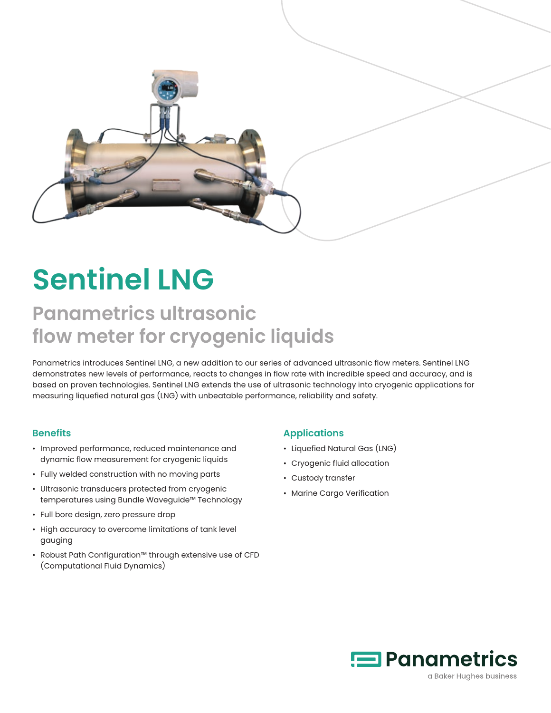

# **Sentinel LNG**

# **Panametrics ultrasonic flow meter for cryogenic liquids**

Panametrics introduces Sentinel LNG, a new addition to our series of advanced ultrasonic flow meters. Sentinel LNG demonstrates new levels of performance, reacts to changes in flow rate with incredible speed and accuracy, and is based on proven technologies. Sentinel LNG extends the use of ultrasonic technology into cryogenic applications for measuring liquefied natural gas (LNG) with unbeatable performance, reliability and safety.

#### **Benefits**

- Improved performance, reduced maintenance and dynamic flow measurement for cryogenic liquids
- Fully welded construction with no moving parts
- Ultrasonic transducers protected from cryogenic temperatures using Bundle Waveguide™ Technology
- Full bore design, zero pressure drop
- High accuracy to overcome limitations of tank level gauging
- Robust Path Configuration™ through extensive use of CFD (Computational Fluid Dynamics)

#### **Applications**

- Liquefied Natural Gas (LNG)
- Cryogenic fluid allocation
- Custody transfer
- Marine Cargo Verification

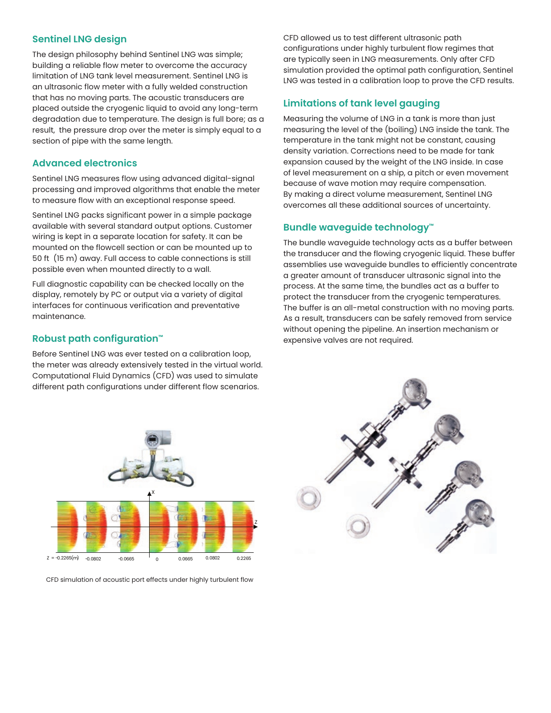#### **Sentinel LNG design**

The design philosophy behind Sentinel LNG was simple; building a reliable flow meter to overcome the accuracy limitation of LNG tank level measurement. Sentinel LNG is an ultrasonic flow meter with a fully welded construction that has no moving parts. The acoustic transducers are placed outside the cryogenic liquid to avoid any long-term degradation due to temperature. The design is full bore; as a result, the pressure drop over the meter is simply equal to a section of pipe with the same length.

#### **Advanced electronics**

Sentinel LNG measures flow using advanced digital-signal processing and improved algorithms that enable the meter to measure flow with an exceptional response speed.

Sentinel LNG packs significant power in a simple package available with several standard output options. Customer wiring is kept in a separate location for safety. It can be mounted on the flowcell section or can be mounted up to 50 ft (15 m) away. Full access to cable connections is still possible even when mounted directly to a wall.

Full diagnostic capability can be checked locally on the display, remotely by PC or output via a variety of digital interfaces for continuous verification and preventative maintenance.

#### **Robust path configuration™**

Before Sentinel LNG was ever tested on a calibration loop, the meter was already extensively tested in the virtual world. Computational Fluid Dynamics (CFD) was used to simulate different path configurations under different flow scenarios.



#### **Limitations of tank level gauging**

Measuring the volume of LNG in a tank is more than just measuring the level of the (boiling) LNG inside the tank. The temperature in the tank might not be constant, causing density variation. Corrections need to be made for tank expansion caused by the weight of the LNG inside. In case of level measurement on a ship, a pitch or even movement because of wave motion may require compensation. By making a direct volume measurement, Sentinel LNG overcomes all these additional sources of uncertainty.

#### **Bundle waveguide technology™**

The bundle waveguide technology acts as a buffer between the transducer and the flowing cryogenic liquid. These buffer assemblies use waveguide bundles to efficiently concentrate a greater amount of transducer ultrasonic signal into the process. At the same time, the bundles act as a buffer to protect the transducer from the cryogenic temperatures. The buffer is an all-metal construction with no moving parts. As a result, transducers can be safely removed from service without opening the pipeline. An insertion mechanism or expensive valves are not required.



CFD simulation of acoustic port effects under highly turbulent flow

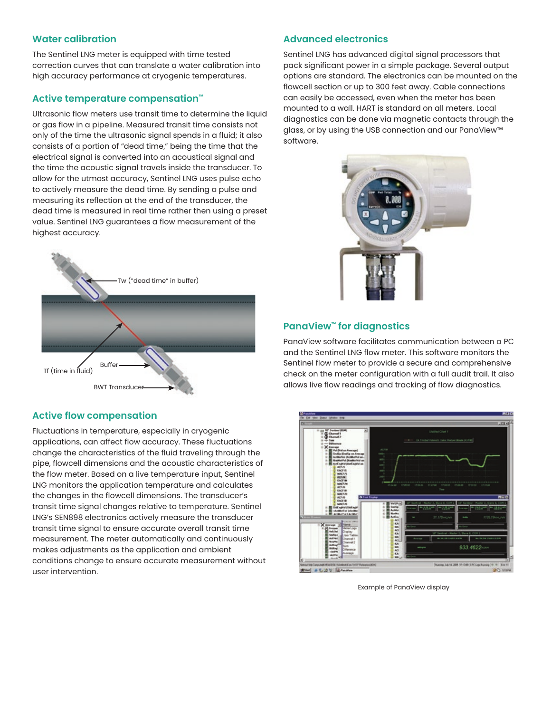#### **Water calibration**

The Sentinel LNG meter is equipped with time tested correction curves that can translate a water calibration into high accuracy performance at cryogenic temperatures.

#### **Active temperature compensation™**

Ultrasonic flow meters use transit time to determine the liquid or gas flow in a pipeline. Measured transit time consists not only of the time the ultrasonic signal spends in a fluid; it also consists of a portion of "dead time," being the time that the electrical signal is converted into an acoustical signal and the time the acoustic signal travels inside the transducer. To allow for the utmost accuracy, Sentinel LNG uses pulse echo to actively measure the dead time. By sending a pulse and measuring its reflection at the end of the transducer, the dead time is measured in real time rather then using a preset value. Sentinel LNG guarantees a flow measurement of the highest accuracy.



#### **Active flow compensation**

Fluctuations in temperature, especially in cryogenic applications, can affect flow accuracy. These fluctuations change the characteristics of the fluid traveling through the pipe, flowcell dimensions and the acoustic characteristics of the flow meter. Based on a live temperature input, Sentinel LNG monitors the application temperature and calculates the changes in the flowcell dimensions. The transducer's transit time signal changes relative to temperature. Sentinel LNG's SEN898 electronics actively measure the transducer transit time signal to ensure accurate overall transit time measurement. The meter automatically and continuously makes adjustments as the application and ambient conditions change to ensure accurate measurement without user intervention.

#### **Advanced electronics**

Sentinel LNG has advanced digital signal processors that pack significant power in a simple package. Several output options are standard. The electronics can be mounted on the flowcell section or up to 300 feet away. Cable connections can easily be accessed, even when the meter has been mounted to a wall. HART is standard on all meters. Local diagnostics can be done via magnetic contacts through the glass, or by using the USB connection and our PanaView™ software.



#### **PanaView™ for diagnostics**

PanaView software facilitates communication between a PC and the Sentinel LNG flow meter. This software monitors the Sentinel flow meter to provide a secure and comprehensive check on the meter configuration with a full audit trail. It also allows live flow readings and tracking of flow diagnostics.



Example of PanaView display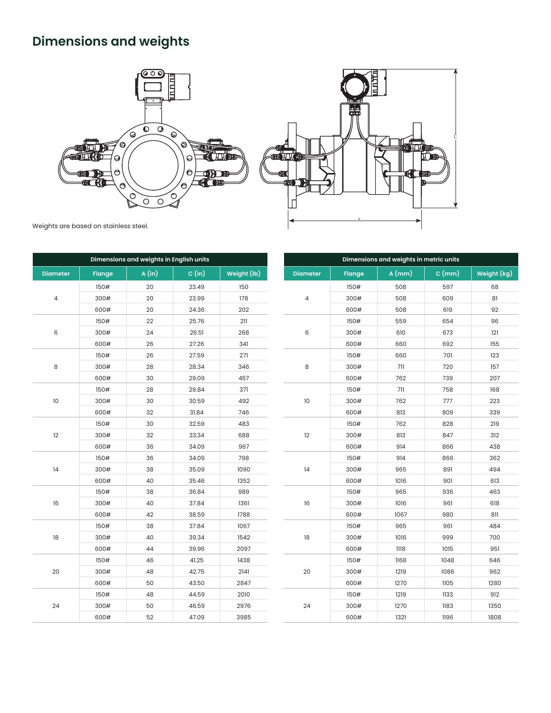# **Dimensions and weights**





Weights are based on stainless steel.

| Dimensions and weights in English units |               |       |        |             |  |  |  |  |
|-----------------------------------------|---------------|-------|--------|-------------|--|--|--|--|
| <b>Diameter</b>                         | <b>Flange</b> | A(in) | C (in) | Weight (lb) |  |  |  |  |
|                                         | 150#          | 20    | 23.49  | 150         |  |  |  |  |
| $\overline{\mathcal{L}}$                | 300#          | 20    | 23.99  | 178         |  |  |  |  |
|                                         | 600#          | 20    | 24.36  | 202         |  |  |  |  |
|                                         | 150#          | 22    | 25.76  | 211         |  |  |  |  |
| 6                                       | 300#          | 24    | 26.51  | 268         |  |  |  |  |
|                                         | 600#          | 26    | 27.26  | 341         |  |  |  |  |
|                                         | 150#          | 26    | 27.59  | 271         |  |  |  |  |
| 8                                       | 300#          | 28    | 28.34  | 346         |  |  |  |  |
|                                         | 600#          | 30    | 29.09  | 457         |  |  |  |  |
|                                         | 150#          | 28    | 29.84  | 371         |  |  |  |  |
| 10                                      | 300#          | 30    | 30.59  | 492         |  |  |  |  |
|                                         | 600#          | 32    | 31.84  | 746         |  |  |  |  |
|                                         | 150#          | 30    | 32.59  | 483         |  |  |  |  |
| 12                                      | 300#          | 32    | 33.34  | 688         |  |  |  |  |
|                                         | 600#          | 36    | 34.09  | 967         |  |  |  |  |
|                                         | 150#          | 36    | 34.09  | 798         |  |  |  |  |
| 14                                      | 300#          | 38    | 35.09  | 1090        |  |  |  |  |
|                                         | 600#          | 40    | 35.46  | 1352        |  |  |  |  |
|                                         | 150#          | 38    | 36.84  | 989         |  |  |  |  |
| 16                                      | 300#          | 40    | 37.84  | 1361        |  |  |  |  |
|                                         | 600#          | 42    | 38.59  | 1788        |  |  |  |  |
|                                         | 150#          | 38    | 37.84  | 1067        |  |  |  |  |
| 18                                      | 300#          | 40    | 39.34  | 1542        |  |  |  |  |
|                                         | 600#          | 44    | 39.96  | 2097        |  |  |  |  |
|                                         | 150#          | 46    | 41.25  | 1438        |  |  |  |  |
| 20                                      | 300#          | 48    | 42.75  | 2141        |  |  |  |  |
|                                         | 600#          | 50    | 43.50  | 2847        |  |  |  |  |
|                                         | 150#          | 48    | 44.59  | 2010        |  |  |  |  |
| 24                                      | 300#          | 50    | 46.59  | 2976        |  |  |  |  |
|                                         | 600#          | 52    | 47.09  | 3985        |  |  |  |  |

| Dimensions and weights in metric units |               |          |       |             |  |  |  |  |
|----------------------------------------|---------------|----------|-------|-------------|--|--|--|--|
| <b>Diameter</b>                        | <b>Flange</b> | $A$ (mm) | C(mm) | Weight (kg) |  |  |  |  |
|                                        | 150#          | 508      | 597   | 68          |  |  |  |  |
| 4                                      | 300#          | 508      | 609   | 81          |  |  |  |  |
|                                        | 600#          | 508      | 619   | 92          |  |  |  |  |
|                                        | 150#          | 559      | 654   | 96          |  |  |  |  |
| 6                                      | 300#          | 610      | 673   | 121         |  |  |  |  |
|                                        | 600#          | 660      | 692   | 155         |  |  |  |  |
|                                        | 150#          | 660      | 701   | 123         |  |  |  |  |
| 8                                      | 300#          | 711      | 720   | 157         |  |  |  |  |
|                                        | 600#          | 762      | 739   | 207         |  |  |  |  |
|                                        | 150#          | 711      | 758   | 168         |  |  |  |  |
| 10                                     | 300#          | 762      | 777   | 223         |  |  |  |  |
|                                        | 600#          | 813      | 809   | 339         |  |  |  |  |
|                                        | 150#          | 762      | 828   | 219         |  |  |  |  |
| 12                                     | 300#          | 813      | 847   | 312         |  |  |  |  |
|                                        | 600#          | 914      | 866   | 438         |  |  |  |  |
|                                        | 150#          | 914      | 866   | 362         |  |  |  |  |
| 14                                     | 300#          | 965      | 891   | 494         |  |  |  |  |
|                                        | 600#          | 1016     | 901   | 613         |  |  |  |  |
|                                        | 150#          | 965      | 936   | 463         |  |  |  |  |
| 16                                     | 300#          | 1016     | 961   | 618         |  |  |  |  |
|                                        | 600#          | 1067     | 980   | 811         |  |  |  |  |
|                                        | 150#          | 965      | 961   | 484         |  |  |  |  |
| 18                                     | 300#          | 1016     | 999   | 700         |  |  |  |  |
|                                        | 600#          | 1118     | 1015  | 951         |  |  |  |  |
|                                        | 150#          | 1168     | 1048  | 646         |  |  |  |  |
| 20                                     | 300#          | 1219     | 1086  | 962         |  |  |  |  |
|                                        | 600#          | 1270     | 1105  | 1280        |  |  |  |  |
|                                        | 150#          | 1219     | 1133  | 912         |  |  |  |  |
| 24                                     | 300#          | 1270     | 1183  | 1350        |  |  |  |  |
|                                        | 600#          | 1321     | 1196  | 1808        |  |  |  |  |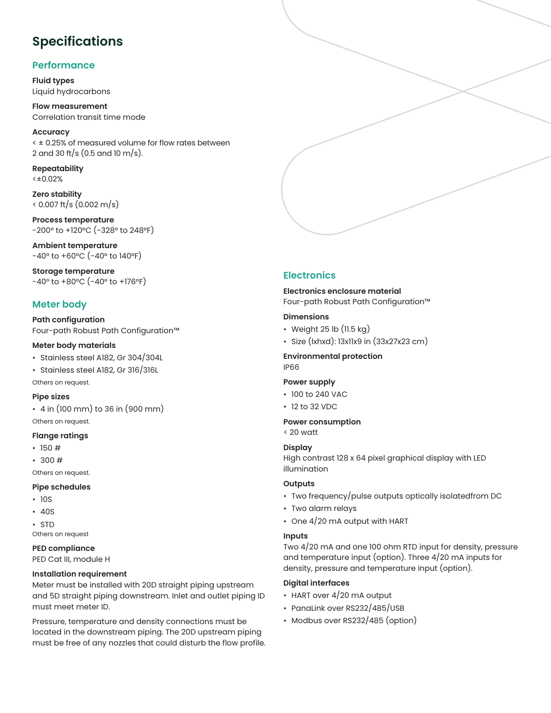## **Specifications**

#### **Performance**

**Fluid types** Liquid hydrocarbons

**Flow measurement**  Correlation transit time mode

**Accuracy**  < ± 0.25% of measured volume for flow rates between 2 and 30 ft/s (0.5 and 10 m/s).

**Repeatability** <±0.02%

**Zero stability**  < 0.007 ft/s (0.002 m/s)

**Process temperature** -200° to +120°C (-328° to 248°F)

**Ambient temperature**  $-40^{\circ}$  to  $+60^{\circ}$ C ( $-40^{\circ}$  to 140°F)

**Storage temperature** -40° to +80°C (-40° to +176°F)

#### **Meter body**

**Path configuration** Four-path Robust Path Configuration™

#### **Meter body materials**

- Stainless steel A182, Gr 304/304L
- Stainless steel A182, Gr 316/316L

Others on request.

#### **Pipe sizes**

• 4 in (100 mm) to 36 in (900 mm) Others on request.

#### **Flange ratings**

- $\cdot$  150 #
- $300#$
- Others on request.

#### **Pipe schedules**

- 10S
- 40S
- STD

Others on request

#### **PED compliance**

PED Cat III, module H

#### **Installation requirement**

Meter must be installed with 20D straight piping upstream and 5D straight piping downstream. Inlet and outlet piping ID must meet meter ID.

Pressure, temperature and density connections must be located in the downstream piping. The 20D upstream piping must be free of any nozzles that could disturb the flow profile.



#### **Electronics**

#### **Electronics enclosure material**

Four-path Robust Path Configuration™

#### **Dimensions**

- Weight 25 lb (11.5 kg)
- Size (lxhxd): 13x11x9 in (33x27x23 cm)

#### **Environmental protection** IP66

#### **Power supply**

- 100 to 240 VAC
- 12 to 32 VDC

#### **Power consumption**

< 20 watt

#### **Display**

High contrast 128 x 64 pixel graphical display with LED illumination

#### **Outputs**

- Two frequency/pulse outputs optically isolatedfrom DC
- Two alarm relays
- One 4/20 mA output with HART

#### **Inputs**

Two 4/20 mA and one 100 ohm RTD input for density, pressure and temperature input (option). Three 4/20 mA inputs for density, pressure and temperature input (option).

#### **Digital interfaces**

- HART over 4/20 mA output
- PanaLink over RS232/485/USB
- Modbus over RS232/485 (option)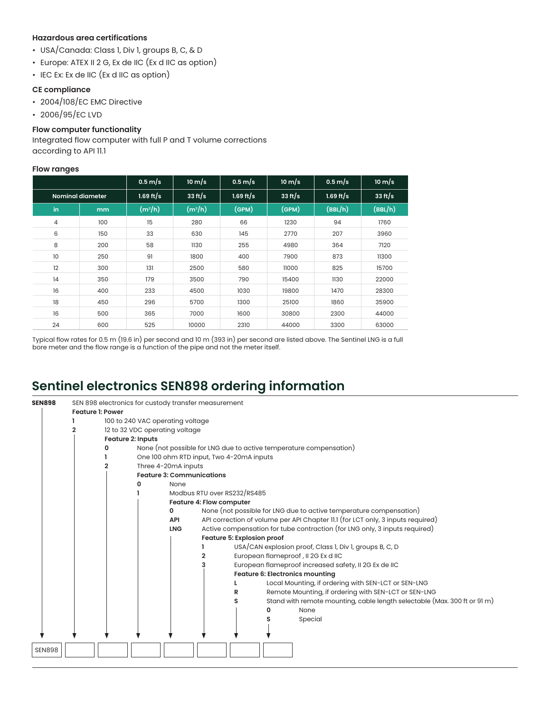#### **Hazardous area certifications**

- USA/Canada: Class 1, Div 1, groups B, C, & D
- Europe: ATEX II 2 G, Ex de IIC (Ex d IIC as option)
- IEC Ex: Ex de IIC (Ex d IIC as option)

#### **CE compliance**

- 2004/108/EC EMC Directive
- 2006/95/EC LVD

#### **Flow computer functionality**

Integrated flow computer with full P and T volume corrections according to API 11.1

#### **Flow ranges**

|                  |     | $0.5 \text{ m/s}$ | $10 \text{ m/s}$ | $0.5 \text{ m/s}$ | $10 \text{ m/s}$ | $0.5$ m/s   | $10 \text{ m/s}$ |
|------------------|-----|-------------------|------------------|-------------------|------------------|-------------|------------------|
| Nominal diameter |     | $1.69$ ft/s       | 33 ft/s          | $1.69$ ft/s       | 33 ft/s          | $1.69$ ft/s | 33 $ft/s$        |
| in.              | mm  | $(m^3/h)$         | $(m^3/h)$        | (GPM)             | (GPM)            | (BBL/h)     | (BBL/h)          |
| $\overline{4}$   | 100 | 15                | 280              | 66                | 1230             | 94          | 1760             |
| 6                | 150 | 33                | 630              | 145               | 2770             | 207         | 3960             |
| 8                | 200 | 58                | 1130             | 255               | 4980             | 364         | 7120             |
| 10               | 250 | 91                | 1800             | 400               | 7900             | 873         | 11300            |
| 12               | 300 | 131               | 2500             | 580               | 11000            | 825         | 15700            |
| 14               | 350 | 179               | 3500             | 790               | 15400            | 1130        | 22000            |
| 16               | 400 | 233               | 4500             | 1030              | 19800            | 1470        | 28300            |
| 18               | 450 | 296               | 5700             | 1300              | 25100            | 1860        | 35900            |
| 16               | 500 | 365               | 7000             | 1600              | 30800            | 2300        | 44000            |
| 24               | 600 | 525               | 10000            | 2310              | 44000            | 3300        | 63000            |

Typical flow rates for 0.5 m (19.6 in) per second and 10 m (393 in) per second are listed above. The Sentinel LNG is a full bore meter and the flow range is a function of the pipe and not the meter itself.

### **Sentinel electronics SEN898 ordering information**

| <b>SEN898</b> |                         | SEN 898 electronics for custody transfer measurement |                                  |                          |                             |                                                                                 |  |  |
|---------------|-------------------------|------------------------------------------------------|----------------------------------|--------------------------|-----------------------------|---------------------------------------------------------------------------------|--|--|
|               | <b>Feature 1: Power</b> |                                                      |                                  |                          |                             |                                                                                 |  |  |
|               |                         | 100 to 240 VAC operating voltage                     |                                  |                          |                             |                                                                                 |  |  |
|               |                         | 12 to 32 VDC operating voltage                       |                                  |                          |                             |                                                                                 |  |  |
|               |                         | <b>Feature 2: Inputs</b>                             |                                  |                          |                             |                                                                                 |  |  |
|               |                         |                                                      |                                  |                          |                             | None (not possible for LNG due to active temperature compensation)              |  |  |
|               |                         | One 100 ohm RTD input, Two 4-20mA inputs             |                                  |                          |                             |                                                                                 |  |  |
|               |                         |                                                      | Three 4-20mA inputs              |                          |                             |                                                                                 |  |  |
|               |                         |                                                      | <b>Feature 3: Communications</b> |                          |                             |                                                                                 |  |  |
|               |                         |                                                      | None                             |                          |                             |                                                                                 |  |  |
|               |                         |                                                      |                                  |                          | Modbus RTU over RS232/RS485 |                                                                                 |  |  |
|               |                         |                                                      |                                  | Feature 4: Flow computer |                             |                                                                                 |  |  |
|               |                         |                                                      | 0                                |                          |                             | None (not possible for LNG due to active temperature compensation)              |  |  |
|               |                         |                                                      | API                              |                          |                             | API correction of volume per API Chapter 11.1 (for LCT only, 3 inputs required) |  |  |
|               |                         |                                                      | <b>LNG</b>                       |                          |                             | Active compensation for tube contraction (for LNG only, 3 inputs required)      |  |  |
|               |                         |                                                      |                                  |                          | Feature 5: Explosion proof  |                                                                                 |  |  |
|               |                         |                                                      |                                  |                          |                             | USA/CAN explosion proof, Class 1, Div 1, groups B, C, D                         |  |  |
|               |                         |                                                      |                                  |                          |                             | European flameproof, II 2G Ex d IIC                                             |  |  |
|               |                         |                                                      |                                  |                          |                             | European flameproof increased safety, II 2G Ex de IIC                           |  |  |
|               |                         |                                                      |                                  |                          |                             | <b>Feature 6: Electronics mounting</b>                                          |  |  |
|               |                         |                                                      |                                  |                          |                             | Local Mounting, if ordering with SEN-LCT or SEN-LNG                             |  |  |
|               |                         |                                                      |                                  |                          | R                           | Remote Mounting, if ordering with SEN-LCT or SEN-LNG                            |  |  |
|               |                         |                                                      |                                  |                          |                             | Stand with remote mounting, cable length selectable (Max. 300 ft or 91 m)       |  |  |
|               |                         |                                                      |                                  |                          |                             | None                                                                            |  |  |
|               |                         |                                                      |                                  |                          |                             | Special                                                                         |  |  |
|               |                         |                                                      |                                  |                          |                             |                                                                                 |  |  |
|               |                         |                                                      |                                  |                          |                             |                                                                                 |  |  |
|               |                         |                                                      |                                  |                          |                             |                                                                                 |  |  |
| <b>SEN898</b> |                         |                                                      |                                  |                          |                             |                                                                                 |  |  |
|               |                         |                                                      |                                  |                          |                             |                                                                                 |  |  |